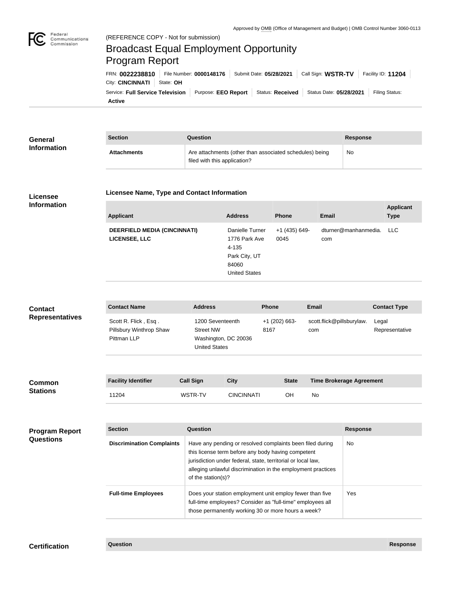

## Federal<br>Communications<br>Commission (REFERENCE COPY - Not for submission) Broadcast Equal Employment Opportunity Program ReportFRN: **0022238810** File Number: **0000148176** Submit Date: **05/28/2021** Call Sign: **WSTR-TV** Facility ID: **11204** City: **CINCINNATI** | State: OH Service: Full Service Television | Purpose: EEO Report | Status: Received | Status Date: 05/28/2021 | Filing Status: **Active**

| <b>General</b>                                                 | <b>Section</b>                                                 | Question                                                                                                                                                                                                                                                              |                                                                                                                      |              |                                           |                 | <b>Response</b>                 |  |
|----------------------------------------------------------------|----------------------------------------------------------------|-----------------------------------------------------------------------------------------------------------------------------------------------------------------------------------------------------------------------------------------------------------------------|----------------------------------------------------------------------------------------------------------------------|--------------|-------------------------------------------|-----------------|---------------------------------|--|
| <b>Information</b>                                             | <b>Attachments</b>                                             | Are attachments (other than associated schedules) being<br>filed with this application?                                                                                                                                                                               |                                                                                                                      |              |                                           | No              |                                 |  |
| Licensee Name, Type and Contact Information<br><b>Licensee</b> |                                                                |                                                                                                                                                                                                                                                                       |                                                                                                                      |              |                                           |                 |                                 |  |
| <b>Information</b>                                             | <b>Applicant</b>                                               |                                                                                                                                                                                                                                                                       | <b>Address</b>                                                                                                       | <b>Phone</b> | <b>Email</b>                              |                 | <b>Applicant</b><br><b>Type</b> |  |
|                                                                | <b>DEERFIELD MEDIA (CINCINNATI)</b><br><b>LICENSEE, LLC</b>    |                                                                                                                                                                                                                                                                       | Danielle Turner<br>+1 (435) 649-<br>1776 Park Ave<br>0045<br>4-135<br>Park City, UT<br>84060<br><b>United States</b> |              | dturner@manhanmedia.<br><b>LLC</b><br>com |                 |                                 |  |
| <b>Contact</b><br><b>Representatives</b>                       | <b>Contact Name</b>                                            | <b>Address</b>                                                                                                                                                                                                                                                        |                                                                                                                      | Phone        | <b>Email</b>                              |                 | <b>Contact Type</b>             |  |
|                                                                | Scott R. Flick, Esq.<br>Pillsbury Winthrop Shaw<br>Pittman LLP | 1200 Seventeenth<br><b>Street NW</b><br>Washington, DC 20036<br><b>United States</b>                                                                                                                                                                                  | $+1$ (202) 663-<br>8167                                                                                              |              | scott.flick@pillsburylaw.<br>com          |                 | Legal<br>Representative         |  |
| <b>Common</b><br><b>Stations</b>                               | <b>Facility Identifier</b>                                     | <b>Call Sign</b>                                                                                                                                                                                                                                                      | <b>City</b><br><b>State</b>                                                                                          |              | <b>Time Brokerage Agreement</b>           |                 |                                 |  |
|                                                                | 11204                                                          | WSTR-TV                                                                                                                                                                                                                                                               | <b>CINCINNATI</b>                                                                                                    | OH           | No                                        |                 |                                 |  |
|                                                                | <b>Section</b>                                                 | Question                                                                                                                                                                                                                                                              |                                                                                                                      |              |                                           | <b>Response</b> |                                 |  |
| <b>Program Report</b><br><b>Questions</b>                      |                                                                |                                                                                                                                                                                                                                                                       |                                                                                                                      |              |                                           |                 |                                 |  |
|                                                                | <b>Discrimination Complaints</b>                               | Have any pending or resolved complaints been filed during<br>this license term before any body having competent<br>jurisdiction under federal, state, territorial or local law,<br>alleging unlawful discrimination in the employment practices<br>of the station(s)? |                                                                                                                      |              |                                           | No              |                                 |  |
|                                                                | <b>Full-time Employees</b>                                     | Does your station employment unit employ fewer than five<br>full-time employees? Consider as "full-time" employees all<br>those permanently working 30 or more hours a week?                                                                                          |                                                                                                                      |              |                                           | Yes             |                                 |  |
|                                                                |                                                                |                                                                                                                                                                                                                                                                       |                                                                                                                      |              |                                           |                 |                                 |  |

**Certification Question Response**